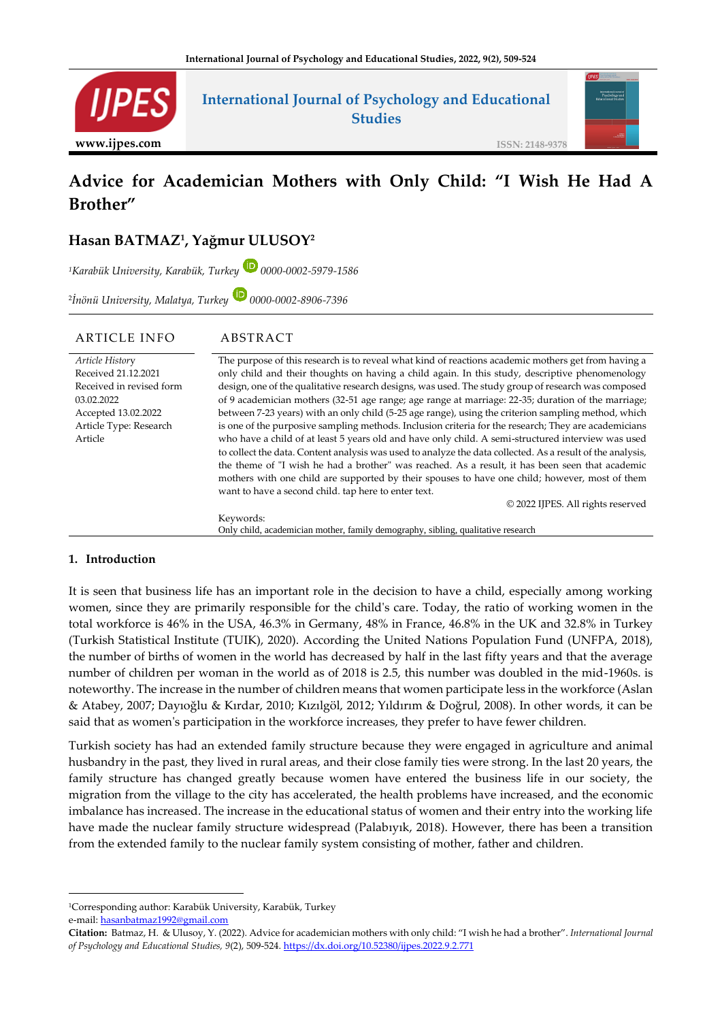

# **Advice for Academician Mothers with Only Child: "I Wish He Had A Brother"**

## **Hasan BATMAZ<sup>1</sup> , Yağmur ULUSOY<sup>2</sup>**

*<sup>1</sup>Karabük University, Karabük, Turkey 0000-0002-5979-1586*

2 *İnönü University, Malatya, Turkey 0000-0002-8906-7396*

| ARTICLE INFO                                                                                                                                 | ABSTRACT                                                                                                                                                                                                                                                                                                                                                                                                                                                                                                                                                                                                                                                                                                                                                                                                                                                                                                                                                                                                                                                                                                                                                 |
|----------------------------------------------------------------------------------------------------------------------------------------------|----------------------------------------------------------------------------------------------------------------------------------------------------------------------------------------------------------------------------------------------------------------------------------------------------------------------------------------------------------------------------------------------------------------------------------------------------------------------------------------------------------------------------------------------------------------------------------------------------------------------------------------------------------------------------------------------------------------------------------------------------------------------------------------------------------------------------------------------------------------------------------------------------------------------------------------------------------------------------------------------------------------------------------------------------------------------------------------------------------------------------------------------------------|
| Article History<br>Received 21.12.2021<br>Received in revised form<br>03.02.2022<br>Accepted 13.02.2022<br>Article Type: Research<br>Article | The purpose of this research is to reveal what kind of reactions academic mothers get from having a<br>only child and their thoughts on having a child again. In this study, descriptive phenomenology<br>design, one of the qualitative research designs, was used. The study group of research was composed<br>of 9 academician mothers (32-51 age range; age range at marriage: 22-35; duration of the marriage;<br>between 7-23 years) with an only child (5-25 age range), using the criterion sampling method, which<br>is one of the purposive sampling methods. Inclusion criteria for the research; They are academicians<br>who have a child of at least 5 years old and have only child. A semi-structured interview was used<br>to collect the data. Content analysis was used to analyze the data collected. As a result of the analysis,<br>the theme of "I wish he had a brother" was reached. As a result, it has been seen that academic<br>mothers with one child are supported by their spouses to have one child; however, most of them<br>want to have a second child, tap here to enter text.<br>© 2022 IJPES. All rights reserved |
|                                                                                                                                              | Keywords:<br>Only child, academician mother, family demography, sibling, qualitative research                                                                                                                                                                                                                                                                                                                                                                                                                                                                                                                                                                                                                                                                                                                                                                                                                                                                                                                                                                                                                                                            |

## **1. Introduction**

It is seen that business life has an important role in the decision to have a child, especially among working women, since they are primarily responsible for the child's care. Today, the ratio of working women in the total workforce is 46% in the USA, 46.3% in Germany, 48% in France, 46.8% in the UK and 32.8% in Turkey (Turkish Statistical Institute (TUIK), 2020). According the United Nations Population Fund (UNFPA, 2018), the number of births of women in the world has decreased by half in the last fifty years and that the average number of children per woman in the world as of 2018 is 2.5, this number was doubled in the mid-1960s. is noteworthy. The increase in the number of children means that women participate less in the workforce (Aslan & Atabey, 2007; Dayıoğlu & Kırdar, 2010; Kızılgöl, 2012; Yıldırım & Doğrul, 2008). In other words, it can be said that as women's participation in the workforce increases, they prefer to have fewer children.

Turkish society has had an extended family structure because they were engaged in agriculture and animal husbandry in the past, they lived in rural areas, and their close family ties were strong. In the last 20 years, the family structure has changed greatly because women have entered the business life in our society, the migration from the village to the city has accelerated, the health problems have increased, and the economic imbalance has increased. The increase in the educational status of women and their entry into the working life have made the nuclear family structure widespread (Palabıyık, 2018). However, there has been a transition from the extended family to the nuclear family system consisting of mother, father and children.

<sup>1</sup>Corresponding author: Karabük University, Karabük, Turkey e-mail: [hasanbatmaz1992@gmail.com](mailto:hasanbatmaz1992@gmail.com)

**Citation:** Batmaz, H. & Ulusoy, Y. (2022). Advice for academician mothers with only child: "I wish he had a brother". *International Journal of Psychology and Educational Studies, 9*(2), 509-524.<https://dx.doi.org/10.52380/ijpes.2022.9.2.771>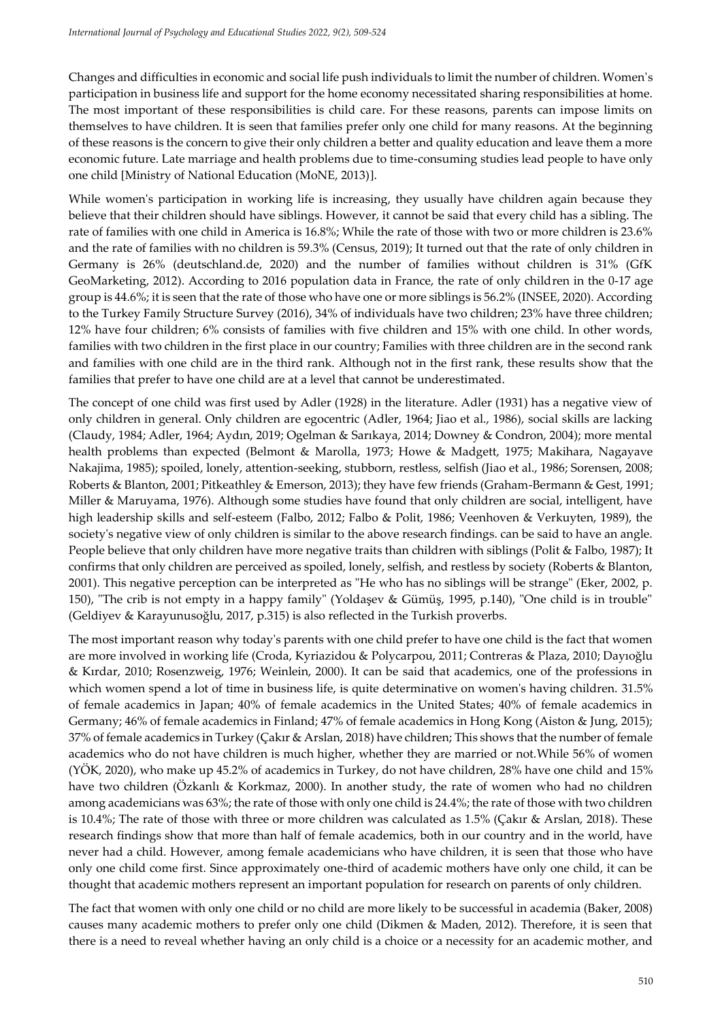Changes and difficulties in economic and social life push individuals to limit the number of children. Women's participation in business life and support for the home economy necessitated sharing responsibilities at home. The most important of these responsibilities is child care. For these reasons, parents can impose limits on themselves to have children. It is seen that families prefer only one child for many reasons. At the beginning of these reasons is the concern to give their only children a better and quality education and leave them a more economic future. Late marriage and health problems due to time-consuming studies lead people to have only one child [Ministry of National Education (MoNE, 2013)].

While women's participation in working life is increasing, they usually have children again because they believe that their children should have siblings. However, it cannot be said that every child has a sibling. The rate of families with one child in America is 16.8%; While the rate of those with two or more children is 23.6% and the rate of families with no children is 59.3% (Census, 2019); It turned out that the rate of only children in Germany is 26% (deutschland.de, 2020) and the number of families without children is 31% (GfK GeoMarketing, 2012). According to 2016 population data in France, the rate of only children in the 0-17 age group is 44.6%; it is seen that the rate of those who have one or more siblings is 56.2% (INSEE, 2020). According to the Turkey Family Structure Survey (2016), 34% of individuals have two children; 23% have three children; 12% have four children; 6% consists of families with five children and 15% with one child. In other words, families with two children in the first place in our country; Families with three children are in the second rank and families with one child are in the third rank. Although not in the first rank, these results show that the families that prefer to have one child are at a level that cannot be underestimated.

The concept of one child was first used by Adler (1928) in the literature. Adler (1931) has a negative view of only children in general. Only children are egocentric (Adler, 1964; Jiao et al., 1986), social skills are lacking (Claudy, 1984; Adler, 1964; Aydın, 2019; Ogelman & Sarıkaya, 2014; Downey & Condron, 2004); more mental health problems than expected (Belmont & Marolla, 1973; Howe & Madgett, 1975; Makihara, Nagayave Nakajima, 1985); spoiled, lonely, attention-seeking, stubborn, restless, selfish (Jiao et al., 1986; Sorensen, 2008; Roberts & Blanton, 2001; Pitkeathley & Emerson, 2013); they have few friends (Graham-Bermann & Gest, 1991; Miller & Maruyama, 1976). Although some studies have found that only children are social, intelligent, have high leadership skills and self-esteem (Falbo, 2012; Falbo & Polit, 1986; Veenhoven & Verkuyten, 1989), the society's negative view of only children is similar to the above research findings. can be said to have an angle. People believe that only children have more negative traits than children with siblings (Polit & Falbo, 1987); It confirms that only children are perceived as spoiled, lonely, selfish, and restless by society (Roberts & Blanton, 2001). This negative perception can be interpreted as "He who has no siblings will be strange" (Eker, 2002, p. 150), "The crib is not empty in a happy family" (Yoldaşev & Gümüş, 1995, p.140), "One child is in trouble" (Geldiyev & Karayunusoğlu, 2017, p.315) is also reflected in the Turkish proverbs.

The most important reason why today's parents with one child prefer to have one child is the fact that women are more involved in working life (Croda, Kyriazidou & Polycarpou, 2011; Contreras & Plaza, 2010; Dayıoğlu & Kırdar, 2010; Rosenzweig, 1976; Weinlein, 2000). It can be said that academics, one of the professions in which women spend a lot of time in business life, is quite determinative on women's having children. 31.5% of female academics in Japan; 40% of female academics in the United States; 40% of female academics in Germany; 46% of female academics in Finland; 47% of female academics in Hong Kong (Aiston & Jung, 2015); 37% of female academics in Turkey (Çakır & Arslan, 2018) have children; This shows that the number of female academics who do not have children is much higher, whether they are married or not.While 56% of women (YÖK, 2020), who make up 45.2% of academics in Turkey, do not have children, 28% have one child and 15% have two children (Özkanlı & Korkmaz, 2000). In another study, the rate of women who had no children among academicians was 63%; the rate of those with only one child is 24.4%; the rate of those with two children is 10.4%; The rate of those with three or more children was calculated as 1.5% (Çakır & Arslan, 2018). These research findings show that more than half of female academics, both in our country and in the world, have never had a child. However, among female academicians who have children, it is seen that those who have only one child come first. Since approximately one-third of academic mothers have only one child, it can be thought that academic mothers represent an important population for research on parents of only children.

The fact that women with only one child or no child are more likely to be successful in academia (Baker, 2008) causes many academic mothers to prefer only one child (Dikmen & Maden, 2012). Therefore, it is seen that there is a need to reveal whether having an only child is a choice or a necessity for an academic mother, and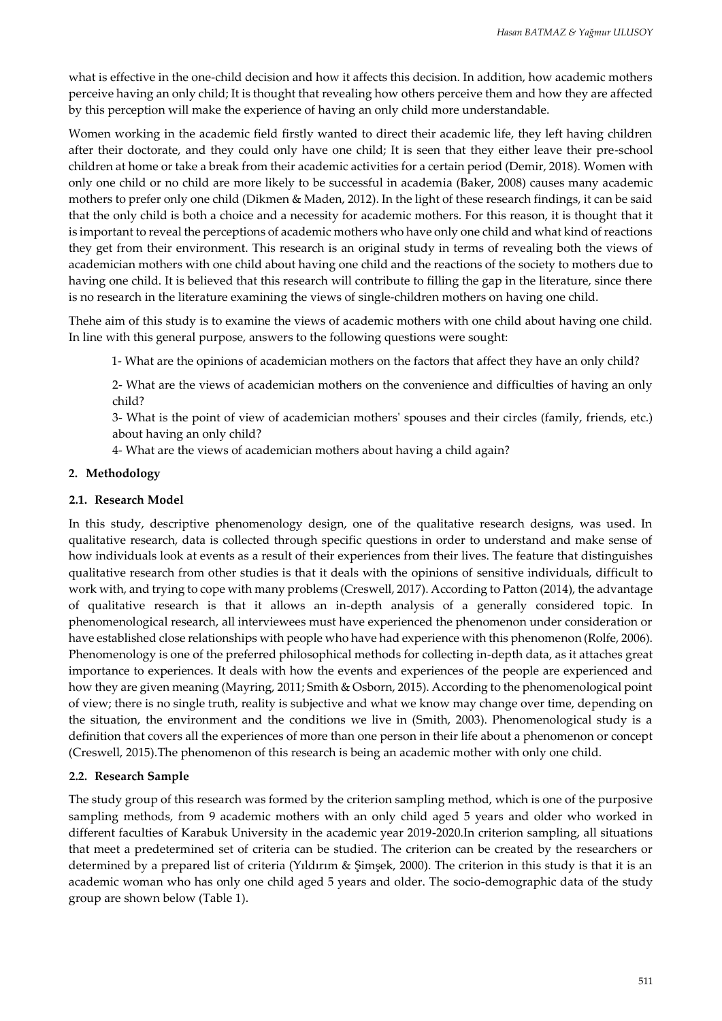what is effective in the one-child decision and how it affects this decision. In addition, how academic mothers perceive having an only child; It is thought that revealing how others perceive them and how they are affected by this perception will make the experience of having an only child more understandable.

Women working in the academic field firstly wanted to direct their academic life, they left having children after their doctorate, and they could only have one child; It is seen that they either leave their pre-school children at home or take a break from their academic activities for a certain period (Demir, 2018). Women with only one child or no child are more likely to be successful in academia (Baker, 2008) causes many academic mothers to prefer only one child (Dikmen & Maden, 2012). In the light of these research findings, it can be said that the only child is both a choice and a necessity for academic mothers. For this reason, it is thought that it is important to reveal the perceptions of academic mothers who have only one child and what kind of reactions they get from their environment. This research is an original study in terms of revealing both the views of academician mothers with one child about having one child and the reactions of the society to mothers due to having one child. It is believed that this research will contribute to filling the gap in the literature, since there is no research in the literature examining the views of single-children mothers on having one child.

Thehe aim of this study is to examine the views of academic mothers with one child about having one child. In line with this general purpose, answers to the following questions were sought:

1- What are the opinions of academician mothers on the factors that affect they have an only child?

2- What are the views of academician mothers on the convenience and difficulties of having an only child?

3- What is the point of view of academician mothers' spouses and their circles (family, friends, etc.) about having an only child?

4- What are the views of academician mothers about having a child again?

## **2. Methodology**

## **2.1. Research Model**

In this study, descriptive phenomenology design, one of the qualitative research designs, was used. In qualitative research, data is collected through specific questions in order to understand and make sense of how individuals look at events as a result of their experiences from their lives. The feature that distinguishes qualitative research from other studies is that it deals with the opinions of sensitive individuals, difficult to work with, and trying to cope with many problems (Creswell, 2017). According to Patton (2014), the advantage of qualitative research is that it allows an in-depth analysis of a generally considered topic. In phenomenological research, all interviewees must have experienced the phenomenon under consideration or have established close relationships with people who have had experience with this phenomenon (Rolfe, 2006). Phenomenology is one of the preferred philosophical methods for collecting in-depth data, as it attaches great importance to experiences. It deals with how the events and experiences of the people are experienced and how they are given meaning (Mayring, 2011; Smith & Osborn, 2015). According to the phenomenological point of view; there is no single truth, reality is subjective and what we know may change over time, depending on the situation, the environment and the conditions we live in (Smith, 2003). Phenomenological study is a definition that covers all the experiences of more than one person in their life about a phenomenon or concept (Creswell, 2015).The phenomenon of this research is being an academic mother with only one child.

## **2.2. Research Sample**

The study group of this research was formed by the criterion sampling method, which is one of the purposive sampling methods, from 9 academic mothers with an only child aged 5 years and older who worked in different faculties of Karabuk University in the academic year 2019-2020.In criterion sampling, all situations that meet a predetermined set of criteria can be studied. The criterion can be created by the researchers or determined by a prepared list of criteria (Yıldırım & Şimşek, 2000). The criterion in this study is that it is an academic woman who has only one child aged 5 years and older. The socio-demographic data of the study group are shown below (Table 1).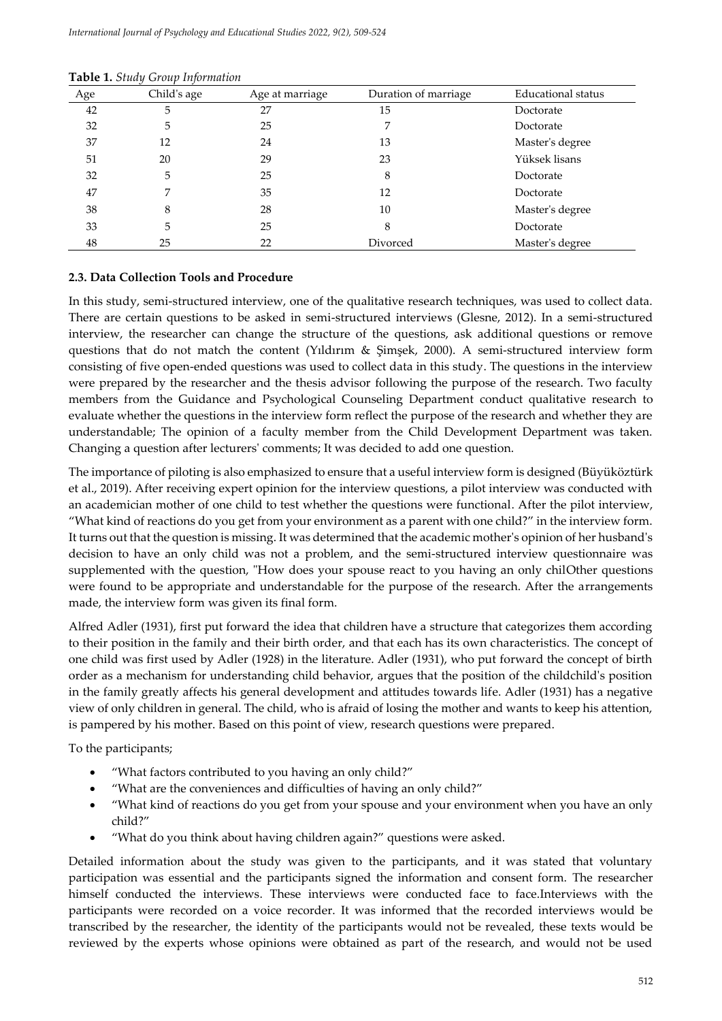| Age | Child's age | Age at marriage | Duration of marriage | Educational status |
|-----|-------------|-----------------|----------------------|--------------------|
| 42  | 5           | 27              | 15                   | Doctorate          |
| 32  | 5           | 25              | 7                    | Doctorate          |
| 37  | 12          | 24              | 13                   | Master's degree    |
| 51  | 20          | 29              | 23                   | Yüksek lisans      |
| 32  | 5           | 25              | 8                    | Doctorate          |
| 47  | 7           | 35              | 12                   | Doctorate          |
| 38  | 8           | 28              | 10                   | Master's degree    |
| 33  | 5           | 25              | 8                    | Doctorate          |
| 48  | 25          | 22              | Divorced             | Master's degree    |

#### **Table 1.** *Study Group Information*

#### **2.3. Data Collection Tools and Procedure**

In this study, semi-structured interview, one of the qualitative research techniques, was used to collect data. There are certain questions to be asked in semi-structured interviews (Glesne, 2012). In a semi-structured interview, the researcher can change the structure of the questions, ask additional questions or remove questions that do not match the content (Yıldırım & Şimşek, 2000). A semi-structured interview form consisting of five open-ended questions was used to collect data in this study. The questions in the interview were prepared by the researcher and the thesis advisor following the purpose of the research. Two faculty members from the Guidance and Psychological Counseling Department conduct qualitative research to evaluate whether the questions in the interview form reflect the purpose of the research and whether they are understandable; The opinion of a faculty member from the Child Development Department was taken. Changing a question after lecturers' comments; It was decided to add one question.

The importance of piloting is also emphasized to ensure that a useful interview form is designed (Büyüköztürk et al., 2019). After receiving expert opinion for the interview questions, a pilot interview was conducted with an academician mother of one child to test whether the questions were functional. After the pilot interview, "What kind of reactions do you get from your environment as a parent with one child?" in the interview form. It turns out that the question is missing. It was determined that the academic mother's opinion of her husband's decision to have an only child was not a problem, and the semi-structured interview questionnaire was supplemented with the question, "How does your spouse react to you having an only chilOther questions were found to be appropriate and understandable for the purpose of the research. After the arrangements made, the interview form was given its final form.

Alfred Adler (1931), first put forward the idea that children have a structure that categorizes them according to their position in the family and their birth order, and that each has its own characteristics. The concept of one child was first used by Adler (1928) in the literature. Adler (1931), who put forward the concept of birth order as a mechanism for understanding child behavior, argues that the position of the childchild's position in the family greatly affects his general development and attitudes towards life. Adler (1931) has a negative view of only children in general. The child, who is afraid of losing the mother and wants to keep his attention, is pampered by his mother. Based on this point of view, research questions were prepared.

To the participants;

- "What factors contributed to you having an only child?"
- "What are the conveniences and difficulties of having an only child?"
- "What kind of reactions do you get from your spouse and your environment when you have an only child?"
- "What do you think about having children again?" questions were asked.

Detailed information about the study was given to the participants, and it was stated that voluntary participation was essential and the participants signed the information and consent form. The researcher himself conducted the interviews. These interviews were conducted face to face.Interviews with the participants were recorded on a voice recorder. It was informed that the recorded interviews would be transcribed by the researcher, the identity of the participants would not be revealed, these texts would be reviewed by the experts whose opinions were obtained as part of the research, and would not be used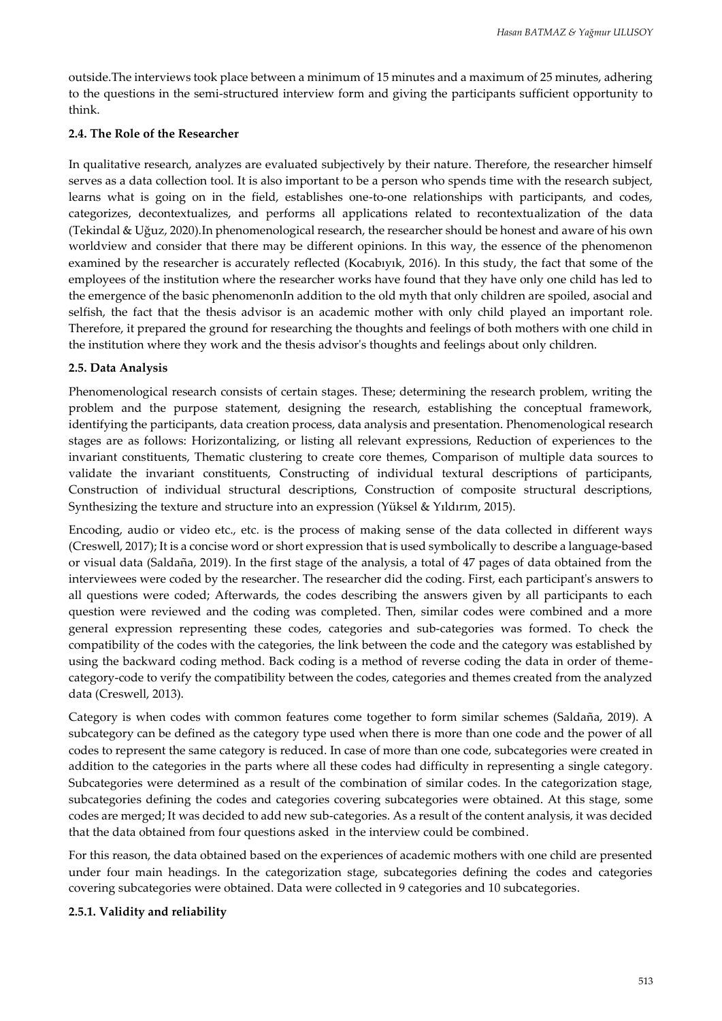outside.The interviews took place between a minimum of 15 minutes and a maximum of 25 minutes, adhering to the questions in the semi-structured interview form and giving the participants sufficient opportunity to think.

#### **2.4. The Role of the Researcher**

In qualitative research, analyzes are evaluated subjectively by their nature. Therefore, the researcher himself serves as a data collection tool. It is also important to be a person who spends time with the research subject, learns what is going on in the field, establishes one-to-one relationships with participants, and codes, categorizes, decontextualizes, and performs all applications related to recontextualization of the data (Tekindal & Uğuz, 2020).In phenomenological research, the researcher should be honest and aware of his own worldview and consider that there may be different opinions. In this way, the essence of the phenomenon examined by the researcher is accurately reflected (Kocabıyık, 2016). In this study, the fact that some of the employees of the institution where the researcher works have found that they have only one child has led to the emergence of the basic phenomenonIn addition to the old myth that only children are spoiled, asocial and selfish, the fact that the thesis advisor is an academic mother with only child played an important role. Therefore, it prepared the ground for researching the thoughts and feelings of both mothers with one child in the institution where they work and the thesis advisor's thoughts and feelings about only children.

## **2.5. Data Analysis**

Phenomenological research consists of certain stages. These; determining the research problem, writing the problem and the purpose statement, designing the research, establishing the conceptual framework, identifying the participants, data creation process, data analysis and presentation. Phenomenological research stages are as follows: Horizontalizing, or listing all relevant expressions, Reduction of experiences to the invariant constituents, Thematic clustering to create core themes, Comparison of multiple data sources to validate the invariant constituents, Constructing of individual textural descriptions of participants, Construction of individual structural descriptions, Construction of composite structural descriptions, Synthesizing the texture and structure into an expression (Yüksel & Yıldırım, 2015).

Encoding, audio or video etc., etc. is the process of making sense of the data collected in different ways (Creswell, 2017); It is a concise word or short expression that is used symbolically to describe a language-based or visual data (Saldaña, 2019). In the first stage of the analysis, a total of 47 pages of data obtained from the interviewees were coded by the researcher. The researcher did the coding. First, each participant's answers to all questions were coded; Afterwards, the codes describing the answers given by all participants to each question were reviewed and the coding was completed. Then, similar codes were combined and a more general expression representing these codes, categories and sub-categories was formed. To check the compatibility of the codes with the categories, the link between the code and the category was established by using the backward coding method. Back coding is a method of reverse coding the data in order of themecategory-code to verify the compatibility between the codes, categories and themes created from the analyzed data (Creswell, 2013).

Category is when codes with common features come together to form similar schemes (Saldaña, 2019). A subcategory can be defined as the category type used when there is more than one code and the power of all codes to represent the same category is reduced. In case of more than one code, subcategories were created in addition to the categories in the parts where all these codes had difficulty in representing a single category. Subcategories were determined as a result of the combination of similar codes. In the categorization stage, subcategories defining the codes and categories covering subcategories were obtained. At this stage, some codes are merged; It was decided to add new sub-categories. As a result of the content analysis, it was decided that the data obtained from four questions asked in the interview could be combined.

For this reason, the data obtained based on the experiences of academic mothers with one child are presented under four main headings. In the categorization stage, subcategories defining the codes and categories covering subcategories were obtained. Data were collected in 9 categories and 10 subcategories.

#### **2.5.1. Validity and reliability**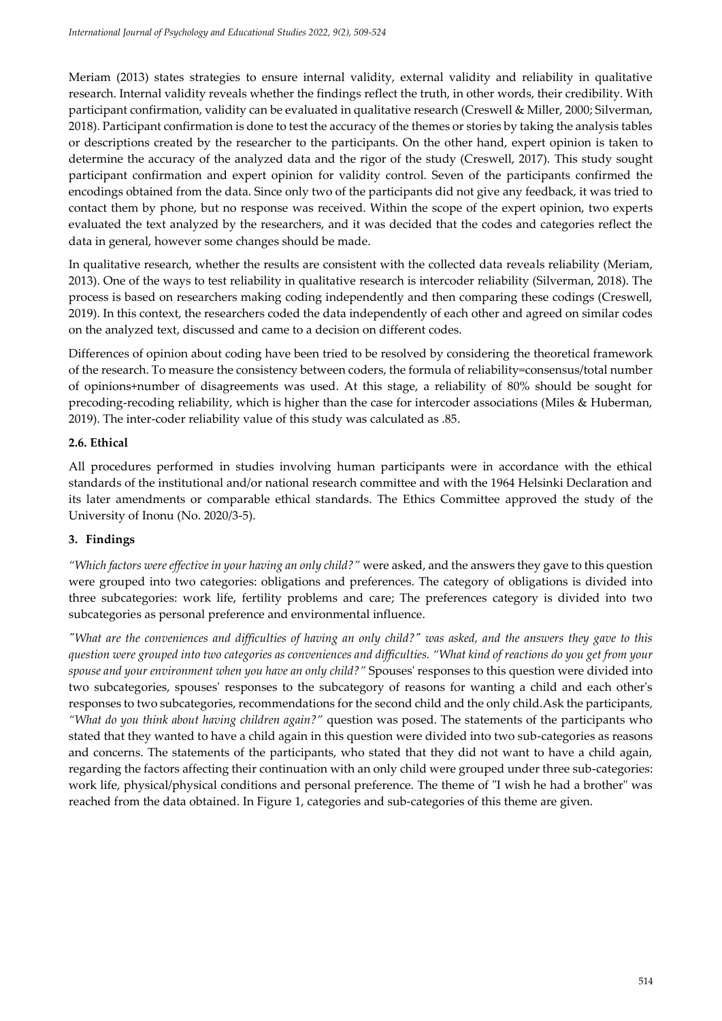Meriam (2013) states strategies to ensure internal validity, external validity and reliability in qualitative research. Internal validity reveals whether the findings reflect the truth, in other words, their credibility. With participant confirmation, validity can be evaluated in qualitative research (Creswell & Miller, 2000; Silverman, 2018). Participant confirmation is done to test the accuracy of the themes or stories by taking the analysis tables or descriptions created by the researcher to the participants. On the other hand, expert opinion is taken to determine the accuracy of the analyzed data and the rigor of the study (Creswell, 2017). This study sought participant confirmation and expert opinion for validity control. Seven of the participants confirmed the encodings obtained from the data. Since only two of the participants did not give any feedback, it was tried to contact them by phone, but no response was received. Within the scope of the expert opinion, two experts evaluated the text analyzed by the researchers, and it was decided that the codes and categories reflect the data in general, however some changes should be made.

In qualitative research, whether the results are consistent with the collected data reveals reliability (Meriam, 2013). One of the ways to test reliability in qualitative research is intercoder reliability (Silverman, 2018). The process is based on researchers making coding independently and then comparing these codings (Creswell, 2019). In this context, the researchers coded the data independently of each other and agreed on similar codes on the analyzed text, discussed and came to a decision on different codes.

Differences of opinion about coding have been tried to be resolved by considering the theoretical framework of the research. To measure the consistency between coders, the formula of reliability=consensus/total number of opinions+number of disagreements was used. At this stage, a reliability of 80% should be sought for precoding-recoding reliability, which is higher than the case for intercoder associations (Miles & Huberman, 2019). The inter-coder reliability value of this study was calculated as .85.

## **2.6. Ethical**

All procedures performed in studies involving human participants were in accordance with the ethical standards of the institutional and/or national research committee and with the 1964 Helsinki Declaration and its later amendments or comparable ethical standards. The Ethics Committee approved the study of the University of Inonu (No. 2020/3-5).

## **3. Findings**

*"Which factors were effective in your having an only child?"* were asked, and the answers they gave to this question were grouped into two categories: obligations and preferences. The category of obligations is divided into three subcategories: work life, fertility problems and care; The preferences category is divided into two subcategories as personal preference and environmental influence.

*"What are the conveniences and difficulties of having an only child?" was asked, and the answers they gave to this question were grouped into two categories as conveniences and difficulties. "What kind of reactions do you get from your spouse and your environment when you have an only child?"* Spouses' responses to this question were divided into two subcategories, spouses' responses to the subcategory of reasons for wanting a child and each other's responses to two subcategories, recommendations for the second child and the only child.Ask the participants*, "What do you think about having children again?"* question was posed. The statements of the participants who stated that they wanted to have a child again in this question were divided into two sub-categories as reasons and concerns. The statements of the participants, who stated that they did not want to have a child again, regarding the factors affecting their continuation with an only child were grouped under three sub-categories: work life, physical/physical conditions and personal preference. The theme of "I wish he had a brother" was reached from the data obtained. In Figure 1, categories and sub-categories of this theme are given.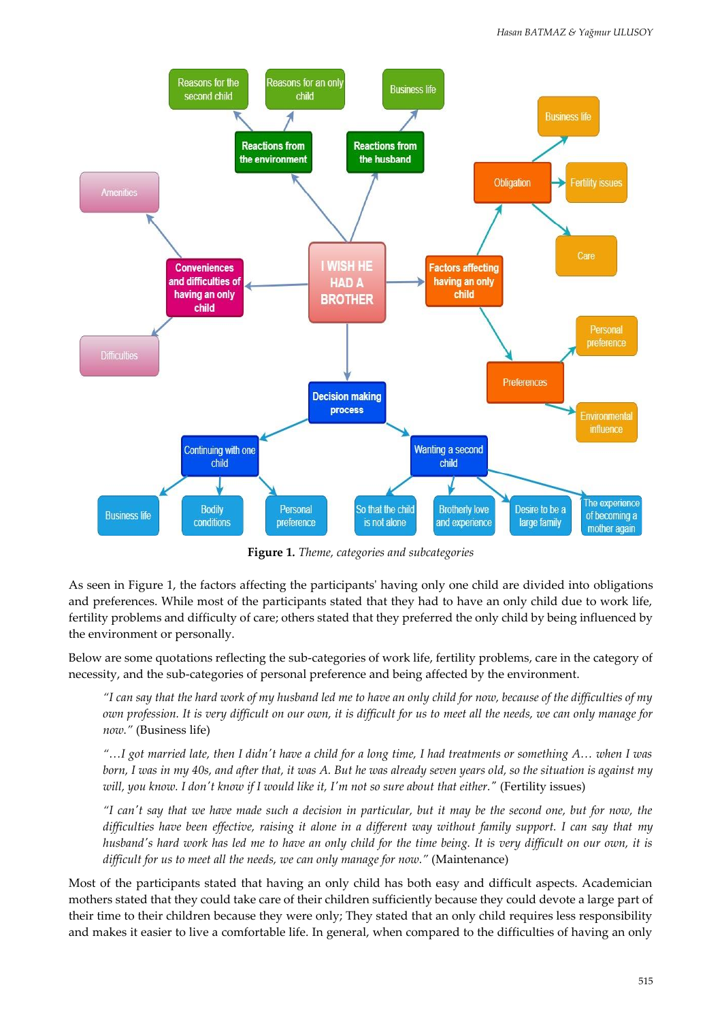

**Figure 1***. Theme, categories and subcategories*

As seen in Figure 1, the factors affecting the participants' having only one child are divided into obligations and preferences. While most of the participants stated that they had to have an only child due to work life, fertility problems and difficulty of care; others stated that they preferred the only child by being influenced by the environment or personally.

Below are some quotations reflecting the sub-categories of work life, fertility problems, care in the category of necessity, and the sub-categories of personal preference and being affected by the environment.

*"I can say that the hard work of my husband led me to have an only child for now, because of the difficulties of my own profession. It is very difficult on our own, it is difficult for us to meet all the needs, we can only manage for now."* (Business life)

*"…I got married late, then I didn't have a child for a long time, I had treatments or something A… when I was born, I was in my 40s, and after that, it was A. But he was already seven years old, so the situation is against my will, you know. I don't know if I would like it, I'm not so sure about that either."* (Fertility issues)

*"I can't say that we have made such a decision in particular, but it may be the second one, but for now, the difficulties have been effective, raising it alone in a different way without family support. I can say that my husband's hard work has led me to have an only child for the time being. It is very difficult on our own, it is difficult for us to meet all the needs, we can only manage for now."* (Maintenance)

Most of the participants stated that having an only child has both easy and difficult aspects. Academician mothers stated that they could take care of their children sufficiently because they could devote a large part of their time to their children because they were only; They stated that an only child requires less responsibility and makes it easier to live a comfortable life. In general, when compared to the difficulties of having an only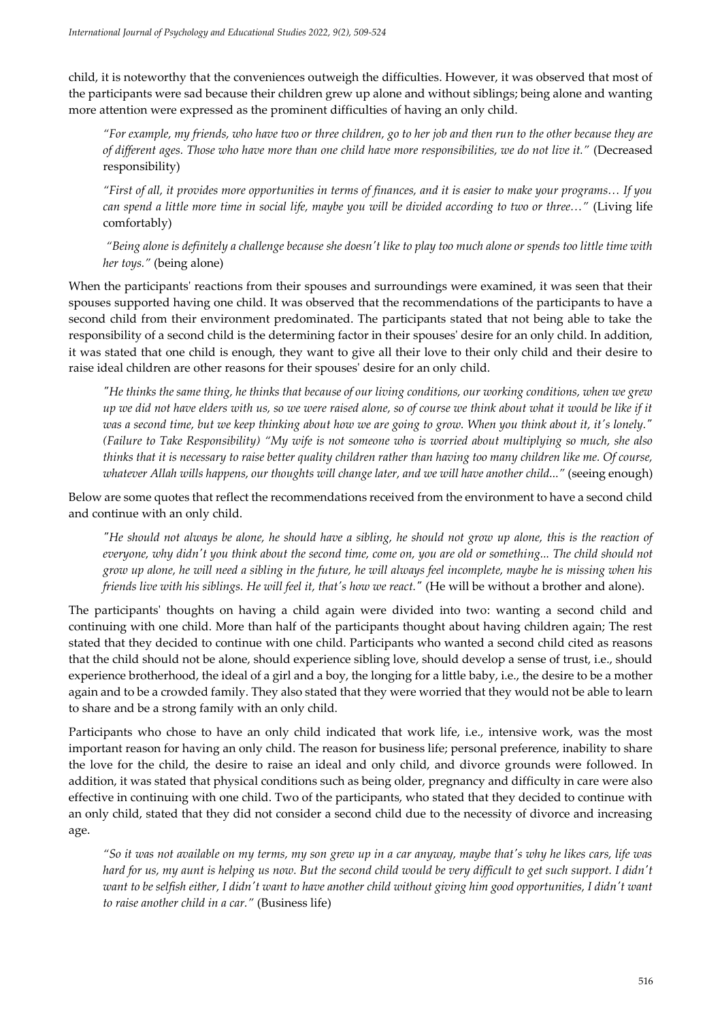child, it is noteworthy that the conveniences outweigh the difficulties. However, it was observed that most of the participants were sad because their children grew up alone and without siblings; being alone and wanting more attention were expressed as the prominent difficulties of having an only child.

*"For example, my friends, who have two or three children, go to her job and then run to the other because they are of different ages. Those who have more than one child have more responsibilities, we do not live it."* (Decreased responsibility)

*"First of all, it provides more opportunities in terms of finances, and it is easier to make your programs… If you can spend a little more time in social life, maybe you will be divided according to two or three…"* (Living life comfortably)

*"Being alone is definitely a challenge because she doesn't like to play too much alone or spends too little time with her toys."* (being alone)

When the participants' reactions from their spouses and surroundings were examined, it was seen that their spouses supported having one child. It was observed that the recommendations of the participants to have a second child from their environment predominated. The participants stated that not being able to take the responsibility of a second child is the determining factor in their spouses' desire for an only child. In addition, it was stated that one child is enough, they want to give all their love to their only child and their desire to raise ideal children are other reasons for their spouses' desire for an only child.

*"He thinks the same thing, he thinks that because of our living conditions, our working conditions, when we grew up we did not have elders with us, so we were raised alone, so of course we think about what it would be like if it was a second time, but we keep thinking about how we are going to grow. When you think about it, it's lonely." (Failure to Take Responsibility) "My wife is not someone who is worried about multiplying so much, she also thinks that it is necessary to raise better quality children rather than having too many children like me. Of course, whatever Allah wills happens, our thoughts will change later, and we will have another child..."* (seeing enough)

Below are some quotes that reflect the recommendations received from the environment to have a second child and continue with an only child.

*"He should not always be alone, he should have a sibling, he should not grow up alone, this is the reaction of everyone, why didn't you think about the second time, come on, you are old or something... The child should not grow up alone, he will need a sibling in the future, he will always feel incomplete, maybe he is missing when his friends live with his siblings. He will feel it, that's how we react."* (He will be without a brother and alone).

The participants' thoughts on having a child again were divided into two: wanting a second child and continuing with one child. More than half of the participants thought about having children again; The rest stated that they decided to continue with one child. Participants who wanted a second child cited as reasons that the child should not be alone, should experience sibling love, should develop a sense of trust, i.e., should experience brotherhood, the ideal of a girl and a boy, the longing for a little baby, i.e., the desire to be a mother again and to be a crowded family. They also stated that they were worried that they would not be able to learn to share and be a strong family with an only child.

Participants who chose to have an only child indicated that work life, i.e., intensive work, was the most important reason for having an only child. The reason for business life; personal preference, inability to share the love for the child, the desire to raise an ideal and only child, and divorce grounds were followed. In addition, it was stated that physical conditions such as being older, pregnancy and difficulty in care were also effective in continuing with one child. Two of the participants, who stated that they decided to continue with an only child, stated that they did not consider a second child due to the necessity of divorce and increasing age.

*"So it was not available on my terms, my son grew up in a car anyway, maybe that's why he likes cars, life was hard for us, my aunt is helping us now. But the second child would be very difficult to get such support. I didn't* want to be selfish either, I didn't want to have another child without giving him good opportunities, I didn't want *to raise another child in a car."* (Business life)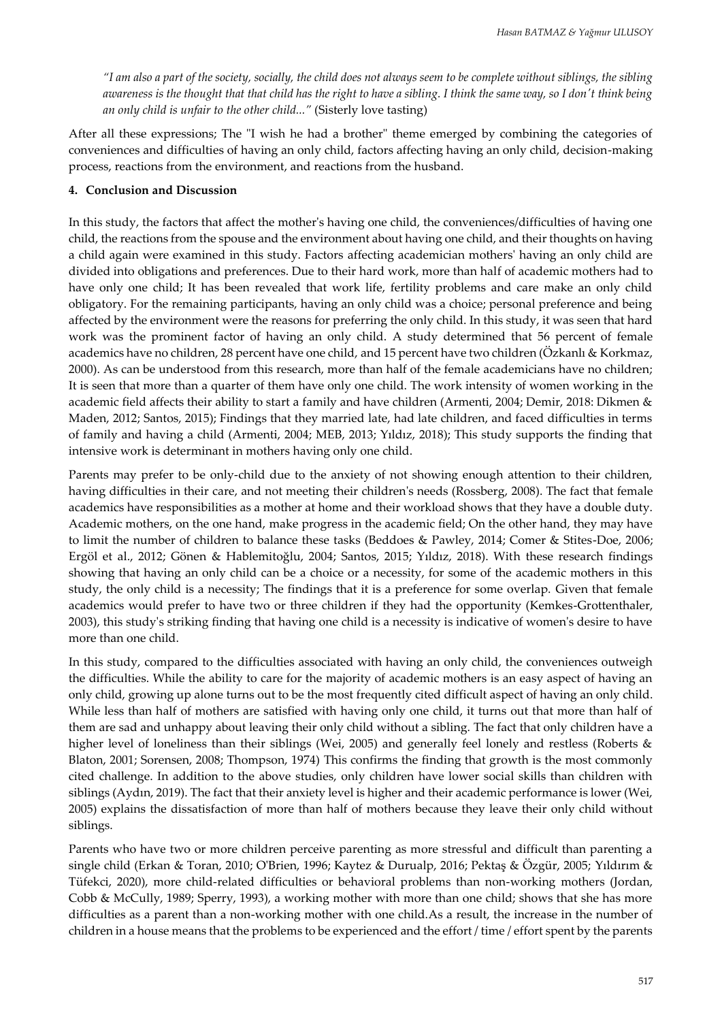*"I am also a part of the society, socially, the child does not always seem to be complete without siblings, the sibling awareness is the thought that that child has the right to have a sibling. I think the same way, so I don't think being an only child is unfair to the other child..."* (Sisterly love tasting)

After all these expressions; The "I wish he had a brother" theme emerged by combining the categories of conveniences and difficulties of having an only child, factors affecting having an only child, decision-making process, reactions from the environment, and reactions from the husband.

## **4. Conclusion and Discussion**

In this study, the factors that affect the mother's having one child, the conveniences/difficulties of having one child, the reactions from the spouse and the environment about having one child, and their thoughts on having a child again were examined in this study. Factors affecting academician mothers' having an only child are divided into obligations and preferences. Due to their hard work, more than half of academic mothers had to have only one child; It has been revealed that work life, fertility problems and care make an only child obligatory. For the remaining participants, having an only child was a choice; personal preference and being affected by the environment were the reasons for preferring the only child. In this study, it was seen that hard work was the prominent factor of having an only child. A study determined that 56 percent of female academics have no children, 28 percent have one child, and 15 percent have two children (Özkanlı & Korkmaz, 2000). As can be understood from this research, more than half of the female academicians have no children; It is seen that more than a quarter of them have only one child. The work intensity of women working in the academic field affects their ability to start a family and have children (Armenti, 2004; Demir, 2018: Dikmen & Maden, 2012; Santos, 2015); Findings that they married late, had late children, and faced difficulties in terms of family and having a child (Armenti, 2004; MEB, 2013; Yıldız, 2018); This study supports the finding that intensive work is determinant in mothers having only one child.

Parents may prefer to be only-child due to the anxiety of not showing enough attention to their children, having difficulties in their care, and not meeting their children's needs (Rossberg, 2008). The fact that female academics have responsibilities as a mother at home and their workload shows that they have a double duty. Academic mothers, on the one hand, make progress in the academic field; On the other hand, they may have to limit the number of children to balance these tasks (Beddoes & Pawley, 2014; Comer & Stites-Doe, 2006; Ergöl et al., 2012; Gönen & Hablemitoğlu, 2004; Santos, 2015; Yıldız, 2018). With these research findings showing that having an only child can be a choice or a necessity, for some of the academic mothers in this study, the only child is a necessity; The findings that it is a preference for some overlap. Given that female academics would prefer to have two or three children if they had the opportunity (Kemkes-Grottenthaler, 2003), this study's striking finding that having one child is a necessity is indicative of women's desire to have more than one child.

In this study, compared to the difficulties associated with having an only child, the conveniences outweigh the difficulties. While the ability to care for the majority of academic mothers is an easy aspect of having an only child, growing up alone turns out to be the most frequently cited difficult aspect of having an only child. While less than half of mothers are satisfied with having only one child, it turns out that more than half of them are sad and unhappy about leaving their only child without a sibling. The fact that only children have a higher level of loneliness than their siblings (Wei, 2005) and generally feel lonely and restless (Roberts & Blaton, 2001; Sorensen, 2008; Thompson, 1974) This confirms the finding that growth is the most commonly cited challenge. In addition to the above studies, only children have lower social skills than children with siblings (Aydın, 2019). The fact that their anxiety level is higher and their academic performance is lower (Wei, 2005) explains the dissatisfaction of more than half of mothers because they leave their only child without siblings.

Parents who have two or more children perceive parenting as more stressful and difficult than parenting a single child (Erkan & Toran, 2010; O'Brien, 1996; Kaytez & Durualp, 2016; Pektaş & Özgür, 2005; Yıldırım & Tüfekci, 2020), more child-related difficulties or behavioral problems than non-working mothers (Jordan, Cobb & McCully, 1989; Sperry, 1993), a working mother with more than one child; shows that she has more difficulties as a parent than a non-working mother with one child.As a result, the increase in the number of children in a house means that the problems to be experienced and the effort / time / effort spent by the parents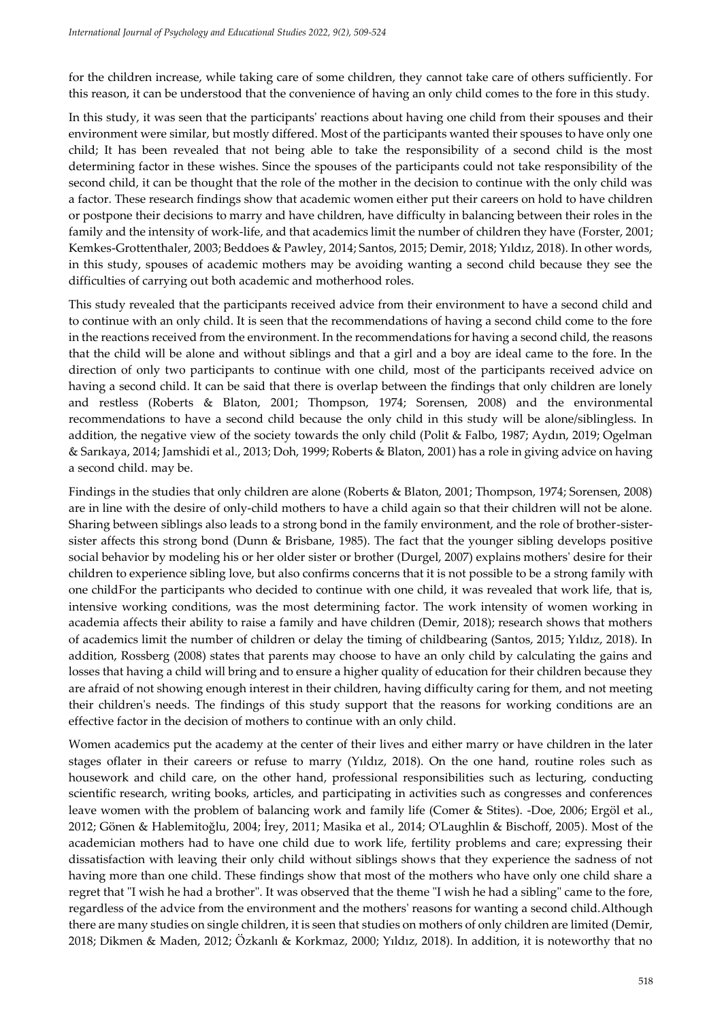for the children increase, while taking care of some children, they cannot take care of others sufficiently. For this reason, it can be understood that the convenience of having an only child comes to the fore in this study.

In this study, it was seen that the participants' reactions about having one child from their spouses and their environment were similar, but mostly differed. Most of the participants wanted their spouses to have only one child; It has been revealed that not being able to take the responsibility of a second child is the most determining factor in these wishes. Since the spouses of the participants could not take responsibility of the second child, it can be thought that the role of the mother in the decision to continue with the only child was a factor. These research findings show that academic women either put their careers on hold to have children or postpone their decisions to marry and have children, have difficulty in balancing between their roles in the family and the intensity of work-life, and that academics limit the number of children they have (Forster, 2001; Kemkes-Grottenthaler, 2003; Beddoes & Pawley, 2014; Santos, 2015; Demir, 2018; Yıldız, 2018). In other words, in this study, spouses of academic mothers may be avoiding wanting a second child because they see the difficulties of carrying out both academic and motherhood roles.

This study revealed that the participants received advice from their environment to have a second child and to continue with an only child. It is seen that the recommendations of having a second child come to the fore in the reactions received from the environment. In the recommendations for having a second child, the reasons that the child will be alone and without siblings and that a girl and a boy are ideal came to the fore. In the direction of only two participants to continue with one child, most of the participants received advice on having a second child. It can be said that there is overlap between the findings that only children are lonely and restless (Roberts & Blaton, 2001; Thompson, 1974; Sorensen, 2008) and the environmental recommendations to have a second child because the only child in this study will be alone/siblingless. In addition, the negative view of the society towards the only child (Polit & Falbo, 1987; Aydın, 2019; Ogelman & Sarıkaya, 2014; Jamshidi et al., 2013; Doh, 1999; Roberts & Blaton, 2001) has a role in giving advice on having a second child. may be.

Findings in the studies that only children are alone (Roberts & Blaton, 2001; Thompson, 1974; Sorensen, 2008) are in line with the desire of only-child mothers to have a child again so that their children will not be alone. Sharing between siblings also leads to a strong bond in the family environment, and the role of brother-sistersister affects this strong bond (Dunn & Brisbane, 1985). The fact that the younger sibling develops positive social behavior by modeling his or her older sister or brother (Durgel, 2007) explains mothers' desire for their children to experience sibling love, but also confirms concerns that it is not possible to be a strong family with one childFor the participants who decided to continue with one child, it was revealed that work life, that is, intensive working conditions, was the most determining factor. The work intensity of women working in academia affects their ability to raise a family and have children (Demir, 2018); research shows that mothers of academics limit the number of children or delay the timing of childbearing (Santos, 2015; Yıldız, 2018). In addition, Rossberg (2008) states that parents may choose to have an only child by calculating the gains and losses that having a child will bring and to ensure a higher quality of education for their children because they are afraid of not showing enough interest in their children, having difficulty caring for them, and not meeting their children's needs. The findings of this study support that the reasons for working conditions are an effective factor in the decision of mothers to continue with an only child.

Women academics put the academy at the center of their lives and either marry or have children in the later stages oflater in their careers or refuse to marry (Yıldız, 2018). On the one hand, routine roles such as housework and child care, on the other hand, professional responsibilities such as lecturing, conducting scientific research, writing books, articles, and participating in activities such as congresses and conferences leave women with the problem of balancing work and family life (Comer & Stites). -Doe, 2006; Ergöl et al., 2012; Gönen & Hablemitoğlu, 2004; İrey, 2011; Masika et al., 2014; O'Laughlin & Bischoff, 2005). Most of the academician mothers had to have one child due to work life, fertility problems and care; expressing their dissatisfaction with leaving their only child without siblings shows that they experience the sadness of not having more than one child. These findings show that most of the mothers who have only one child share a regret that "I wish he had a brother". It was observed that the theme "I wish he had a sibling" came to the fore, regardless of the advice from the environment and the mothers' reasons for wanting a second child.Although there are many studies on single children, it is seen that studies on mothers of only children are limited (Demir, 2018; Dikmen & Maden, 2012; Özkanlı & Korkmaz, 2000; Yıldız, 2018). In addition, it is noteworthy that no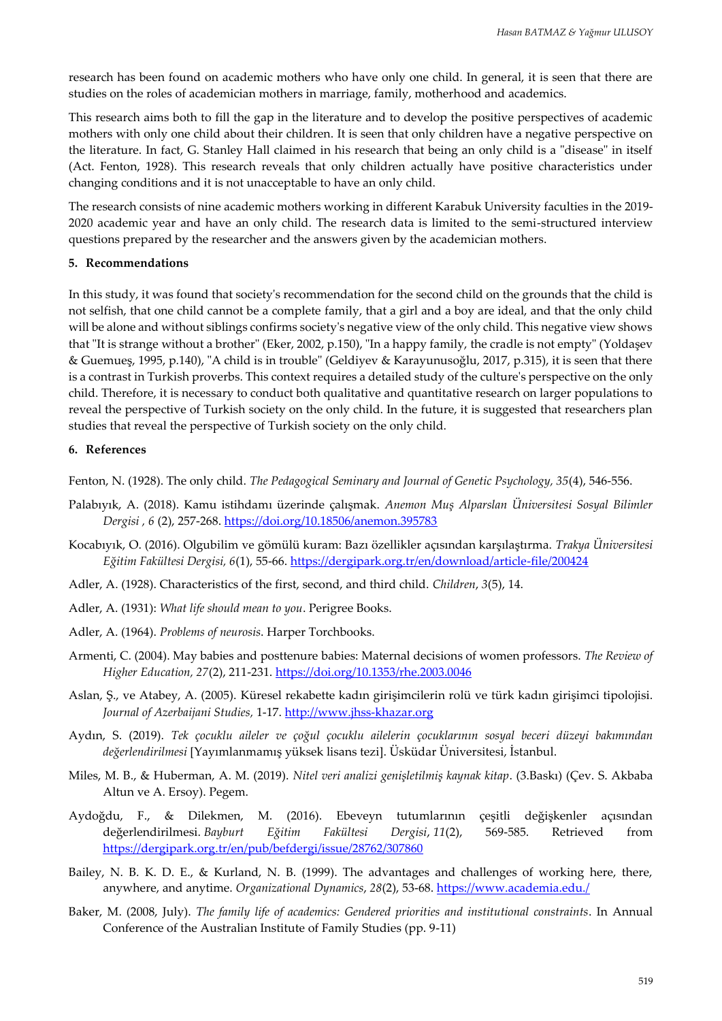research has been found on academic mothers who have only one child. In general, it is seen that there are studies on the roles of academician mothers in marriage, family, motherhood and academics.

This research aims both to fill the gap in the literature and to develop the positive perspectives of academic mothers with only one child about their children. It is seen that only children have a negative perspective on the literature. In fact, G. Stanley Hall claimed in his research that being an only child is a "disease" in itself (Act. Fenton, 1928). This research reveals that only children actually have positive characteristics under changing conditions and it is not unacceptable to have an only child.

The research consists of nine academic mothers working in different Karabuk University faculties in the 2019- 2020 academic year and have an only child. The research data is limited to the semi-structured interview questions prepared by the researcher and the answers given by the academician mothers.

#### **5. Recommendations**

In this study, it was found that society's recommendation for the second child on the grounds that the child is not selfish, that one child cannot be a complete family, that a girl and a boy are ideal, and that the only child will be alone and without siblings confirms society's negative view of the only child. This negative view shows that "It is strange without a brother" (Eker, 2002, p.150), "In a happy family, the cradle is not empty" (Yoldaşev & Guemueş, 1995, p.140), "A child is in trouble" (Geldiyev & Karayunusoğlu, 2017, p.315), it is seen that there is a contrast in Turkish proverbs. This context requires a detailed study of the culture's perspective on the only child. Therefore, it is necessary to conduct both qualitative and quantitative research on larger populations to reveal the perspective of Turkish society on the only child. In the future, it is suggested that researchers plan studies that reveal the perspective of Turkish society on the only child.

## **6. References**

Fenton, N. (1928). The only child. *The Pedagogical Seminary and Journal of Genetic Psychology, 35*(4), 546-556.

- Palabıyık, A. (2018). Kamu istihdamı üzerinde çalışmak. *Anemon Muş Alparslan Üniversitesi Sosyal Bilimler Dergisi , 6* (2), 257-268.<https://doi.org/10.18506/anemon.395783>
- Kocabıyık, O. (2016). Olgubilim ve gömülü kuram: Bazı özellikler açısından karşılaştırma. *Trakya Üniversitesi Eğitim Fakültesi Dergisi, 6*(1), 55-66.<https://dergipark.org.tr/en/download/article-file/200424>
- Adler, A. (1928). Characteristics of the first, second, and third child. *Children*, *3*(5), 14.
- Adler, A. (1931): *What life should mean to you*. Perigree Books.
- Adler, A. (1964). *Problems of neurosis*. Harper Torchbooks.
- Armenti, C. (2004). May babies and posttenure babies: Maternal decisions of women professors. *The Review of Higher Education, 27*(2), 211-231.<https://doi.org/10.1353/rhe.2003.0046>
- Aslan, Ş., ve Atabey, A. (2005). Küresel rekabette kadın girişimcilerin rolü ve türk kadın girişimci tipolojisi. *Journal of Azerbaijani Studies,* 1-17. [http://www.jhss-khazar.org](http://www.jhss-khazar.org/)
- Aydın, S. (2019). *Tek çocuklu aileler ve çoğul çocuklu ailelerin çocuklarının sosyal beceri düzeyi bakımından değerlendirilmesi* [Yayımlanmamış yüksek lisans tezi]. Üsküdar Üniversitesi, İstanbul.
- Miles, M. B., & Huberman, A. M. (2019). *Nitel veri analizi genişletilmiş kaynak kitap*. (3.Baskı) (Çev. S. Akbaba Altun ve A. Ersoy). Pegem.
- Aydoğdu, F., & Dilekmen, M. (2016). Ebeveyn tutumlarının çeşitli değişkenler açısından değerlendirilmesi. *Bayburt Eğitim Fakültesi Dergisi*, *11*(2), 569-585. Retrieved from <https://dergipark.org.tr/en/pub/befdergi/issue/28762/307860>
- Bailey, N. B. K. D. E., & Kurland, N. B. (1999). The advantages and challenges of working here, there, anywhere, and anytime. *Organizational Dynamics*, *28*(2), 53-68.<https://www.academia.edu./>
- Baker, M. (2008, July). *The family life of academics: Gendered priorities and institutional constraints*. In Annual Conference of the Australian Institute of Family Studies (pp. 9-11)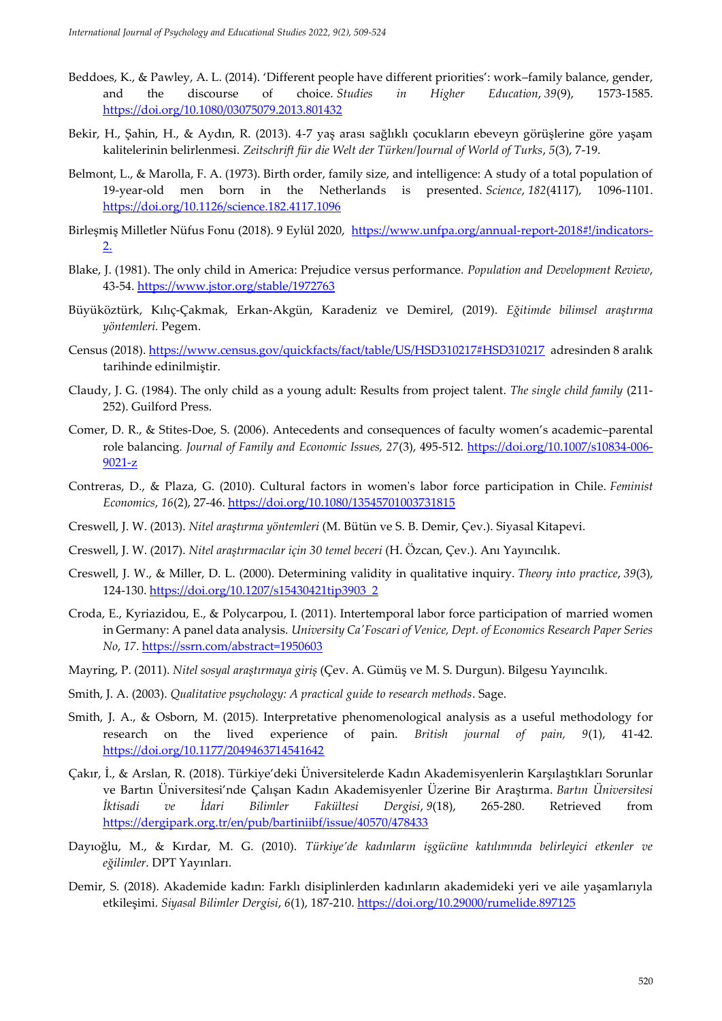- Beddoes, K., & Pawley, A. L. (2014). 'Different people have different priorities': work–family balance, gender, and the discourse of choice. *Studies in Higher Education*, *39*(9), 1573-1585. <https://doi.org/10.1080/03075079.2013.801432>
- Bekir, H., Şahin, H., & Aydın, R. (2013). 4-7 yaş arası sağlıklı çocukların ebeveyn görüşlerine göre yaşam kalitelerinin belirlenmesi. *Zeitschrift für die Welt der Türken/Journal of World of Turks*, *5*(3), 7-19.
- Belmont, L., & Marolla, F. A. (1973). Birth order, family size, and intelligence: A study of a total population of 19-year-old men born in the Netherlands is presented. *Science*, *182*(4117), 1096-1101. <https://doi.org/10.1126/science.182.4117.1096>
- Birleşmiş Milletler Nüfus Fonu (2018). 9 Eylül 2020, [https://www.unfpa.org/annual-report-2018#!/indicators-](https://www.unfpa.org/annual-report-2018#!/indicators-2.)[2.](https://www.unfpa.org/annual-report-2018#!/indicators-2.)
- Blake, J. (1981). The only child in America: Prejudice versus performance. *Population and Development Review*, 43-54.<https://www.jstor.org/stable/1972763>
- Büyüköztürk, Kılıç-Çakmak, Erkan-Akgün, Karadeniz ve Demirel, (2019). *Eğitimde bilimsel araştırma yöntemleri.* Pegem.
- Census (2018).<https://www.census.gov/quickfacts/fact/table/US/HSD310217#HSD310217>adresinden 8 aralık tarihinde edinilmiştir.
- Claudy, J. G. (1984). The only child as a young adult: Results from project talent. *The single child family* (211- 252). Guilford Press.
- Comer, D. R., & Stites-Doe, S. (2006). Antecedents and consequences of faculty women's academic–parental role balancing*. Journal of Family and Economic Issues, 27*(3), 495-512. [https://doi.org/10.1007/s10834-006-](https://doi.org/10.1007/s10834-006-9021-z) [9021-z](https://doi.org/10.1007/s10834-006-9021-z)
- Contreras, D., & Plaza, G. (2010). Cultural factors in women's labor force participation in Chile. *Feminist Economics*, *16*(2), 27-46. <https://doi.org/10.1080/13545701003731815>
- Creswell, J. W. (2013). *Nitel araştırma yöntemleri* (M. Bütün ve S. B. Demir, Çev.). Siyasal Kitapevi.
- Creswell, J. W. (2017). *Nitel araştırmacılar için 30 temel beceri* (H. Özcan, Çev.). Anı Yayıncılık.
- Creswell, J. W., & Miller, D. L. (2000). Determining validity in qualitative inquiry. *Theory into practice*, *39*(3), 124-130. [https://doi.org/10.1207/s15430421tip3903\\_2](https://doi.org/10.1207/s15430421tip3903_2)
- Croda, E., Kyriazidou, E., & Polycarpou, I. (2011). Intertemporal labor force participation of married women in Germany: A panel data analysis. *University Ca'Foscari of Venice, Dept. of Economics Research Paper Series No*, *17*.<https://ssrn.com/abstract=1950603>
- Mayring, P. (2011). *Nitel sosyal araştırmaya giriş* (Çev. A. Gümüş ve M. S. Durgun). Bilgesu Yayıncılık.
- Smith, J. A. (2003). *Qualitative psychology: A practical guide to research methods*. Sage.
- Smith, J. A., & Osborn, M. (2015). Interpretative phenomenological analysis as a useful methodology for research on the lived experience of pain. *British journal of pain, 9*(1), 41-42. <https://doi.org/10.1177/2049463714541642>
- Çakır, İ., & Arslan, R. (2018). Türkiye'deki Üniversitelerde Kadın Akademisyenlerin Karşılaştıkları Sorunlar ve Bartın Üniversitesi'nde Çalışan Kadın Akademisyenler Üzerine Bir Araştırma. *Bartın Üniversitesi İktisadi ve İdari Bilimler Fakültesi Dergisi*, *9*(18), 265-280. Retrieved from <https://dergipark.org.tr/en/pub/bartiniibf/issue/40570/478433>
- Dayıoğlu, M., & Kırdar, M. G. (2010). *Türkiye'de kadınların işgücüne katılımında belirleyici etkenler ve eğilimler*. DPT Yayınları.
- Demir, S. (2018). Akademide kadın: Farklı disiplinlerden kadınların akademideki yeri ve aile yaşamlarıyla etkileşimi. *Siyasal Bilimler Dergisi*, *6*(1), 187-210.<https://doi.org/10.29000/rumelide.897125>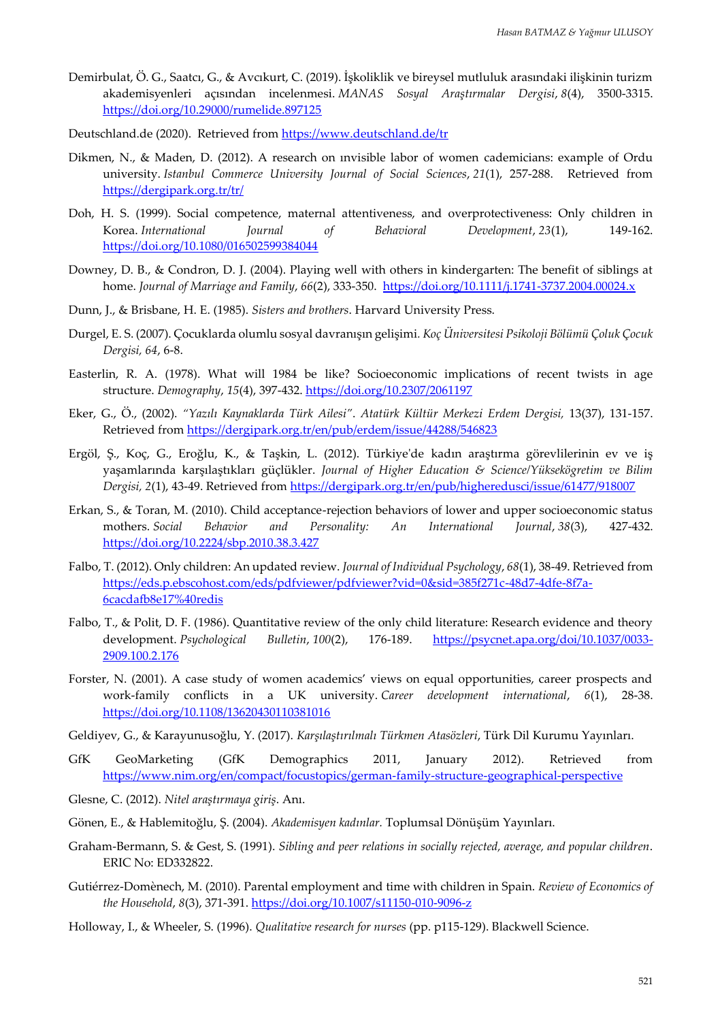- Demirbulat, Ö. G., Saatcı, G., & Avcıkurt, C. (2019). İşkoliklik ve bireysel mutluluk arasındaki ilişkinin turizm akademisyenleri açısından incelenmesi. *MANAS Sosyal Araştırmalar Dergisi*, *8*(4), 3500-3315. <https://doi.org/10.29000/rumelide.897125>
- Deutschland.de (2020). Retrieved from <https://www.deutschland.de/tr>
- Dikmen, N., & Maden, D. (2012). A research on ınvisible labor of women cademicians: example of Ordu university. *Istanbul Commerce University Journal of Social Sciences*, *21*(1), 257-288. Retrieved from <https://dergipark.org.tr/tr/>
- Doh, H. S. (1999). Social competence, maternal attentiveness, and overprotectiveness: Only children in Korea. *International Journal of Behavioral Development*, *23*(1), 149-162. <https://doi.org/10.1080/016502599384044>
- Downey, D. B., & Condron, D. J. (2004). Playing well with others in kindergarten: The benefit of siblings at home. *Journal of Marriage and Family*, *66*(2), 333-350. <https://doi.org/10.1111/j.1741-3737.2004.00024.x>
- Dunn, J., & Brisbane, H. E. (1985). *Sisters and brothers*. Harvard University Press.
- Durgel, E. S. (2007). Çocuklarda olumlu sosyal davranışın gelişimi*. Koç Üniversitesi Psikoloji Bölümü Çoluk Çocuk Dergisi, 64*, 6-8.
- Easterlin, R. A. (1978). What will 1984 be like? Socioeconomic implications of recent twists in age structure. *Demography*, *15*(4), 397-432.<https://doi.org/10.2307/2061197>
- Eker, G., Ö., (2002). *"Yazılı Kaynaklarda Türk Ailesi"*. *Atatürk Kültür Merkezi Erdem Dergisi,* 13(37), 131-157. Retrieved from<https://dergipark.org.tr/en/pub/erdem/issue/44288/546823>
- Ergöl, Ş., Koç, G., Eroğlu, K., & Taşkin, L. (2012). Türkiye'de kadın araştırma görevlilerinin ev ve iş yaşamlarında karşılaştıkları güçlükler. *Journal of Higher Education & Science/Yüksekögretim ve Bilim Dergisi, 2*(1), 43-49. Retrieved from<https://dergipark.org.tr/en/pub/higheredusci/issue/61477/918007>
- Erkan, S., & Toran, M. (2010). Child acceptance-rejection behaviors of lower and upper socioeconomic status mothers. *Social Behavior and Personality: An International Journal*, *38*(3), 427-432. <https://doi.org/10.2224/sbp.2010.38.3.427>
- Falbo, T. (2012). Only children: An updated review. *Journal of Individual Psychology*, *68*(1), 38-49. Retrieved from [https://eds.p.ebscohost.com/eds/pdfviewer/pdfviewer?vid=0&sid=385f271c-48d7-4dfe-8f7a-](https://eds.p.ebscohost.com/eds/pdfviewer/pdfviewer?vid=0&sid=385f271c-48d7-4dfe-8f7a-6cacdafb8e17%40redis)[6cacdafb8e17%40redis](https://eds.p.ebscohost.com/eds/pdfviewer/pdfviewer?vid=0&sid=385f271c-48d7-4dfe-8f7a-6cacdafb8e17%40redis)
- Falbo, T., & Polit, D. F. (1986). Quantitative review of the only child literature: Research evidence and theory development. *Psychological Bulletin*, *100*(2), 176-189. [https://psycnet.apa.org/doi/10.1037/0033-](https://psycnet.apa.org/doi/10.1037/0033-2909.100.2.176) [2909.100.2.176](https://psycnet.apa.org/doi/10.1037/0033-2909.100.2.176)
- Forster, N. (2001). A case study of women academics' views on equal opportunities, career prospects and work‐family conflicts in a UK university. *Career development international*, *6*(1), 28-38. <https://doi.org/10.1108/13620430110381016>
- Geldiyev, G., & Karayunusoğlu, Y. (2017). *Karşılaştırılmalı Türkmen Atasözleri*, Türk Dil Kurumu Yayınları.
- GfK GeoMarketing (GfK Demographics 2011, January 2012). Retrieved from <https://www.nim.org/en/compact/focustopics/german-family-structure-geographical-perspective>
- Glesne, C. (2012). *Nitel araştırmaya giriş*. Anı.
- Gönen, E., & Hablemitoğlu, Ş. (2004). *Akademisyen kadınlar.* Toplumsal Dönüşüm Yayınları.
- Graham-Bermann, S. & Gest, S. (1991). *Sibling and peer relations in socially rejected, average, and popular children*. ERIC No: ED332822.
- Gutiérrez-Domènech, M. (2010). Parental employment and time with children in Spain. *Review of Economics of the Household*, *8*(3), 371-391[. https://doi.org/10.1007/s11150-010-9096-z](https://doi.org/10.1007/s11150-010-9096-z)
- Holloway, I., & Wheeler, S. (1996). *Qualitative research for nurses* (pp. p115-129). Blackwell Science.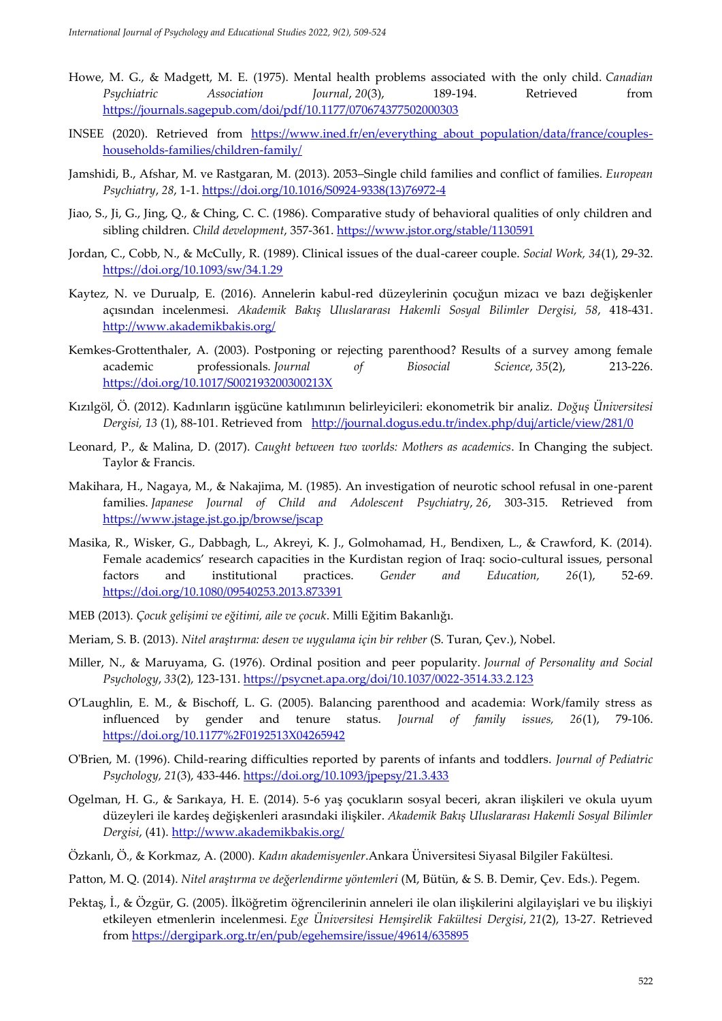- Howe, M. G., & Madgett, M. E. (1975). Mental health problems associated with the only child. *Canadian Psychiatric Association Journal*, *20*(3), 189-194. Retrieved from <https://journals.sagepub.com/doi/pdf/10.1177/070674377502000303>
- INSEE (2020). Retrieved from [https://www.ined.fr/en/everything\\_about\\_population/data/france/couples](https://www.ined.fr/en/everything_about_population/data/france/couples-households-families/children-family/)[households-families/children-family/](https://www.ined.fr/en/everything_about_population/data/france/couples-households-families/children-family/)
- Jamshidi, B., Afshar, M. ve Rastgaran, M. (2013). 2053–Single child families and conflict of families. *European Psychiatry*, *28*, 1-1. [https://doi.org/10.1016/S0924-9338\(13\)76972-4](https://doi.org/10.1016/S0924-9338(13)76972-4)
- Jiao, S., Ji, G., Jing, Q., & Ching, C. C. (1986). Comparative study of behavioral qualities of only children and sibling children. *Child development*, 357-361.<https://www.jstor.org/stable/1130591>
- Jordan, C., Cobb, N., & McCully, R. (1989). Clinical issues of the dual-career couple. *Social Work, 34*(1), 29-32. <https://doi.org/10.1093/sw/34.1.29>
- Kaytez, N. ve Durualp, E. (2016). Annelerin kabul-red düzeylerinin çocuğun mizacı ve bazı değişkenler açısından incelenmesi. *Akademik Bakış Uluslararası Hakemli Sosyal Bilimler Dergisi, 58*, 418-431. <http://www.akademikbakis.org/>
- Kemkes-Grottenthaler, A. (2003). Postponing or rejecting parenthood? Results of a survey among female academic professionals. *Journal of Biosocial Science*, *35*(2), 213-226. <https://doi.org/10.1017/S002193200300213X>
- Kızılgöl, Ö. (2012). Kadınların işgücüne katılımının belirleyicileri: ekonometrik bir analiz. *Doğuş Üniversitesi Dergisi, 13* (1), 88-101. Retrieved from <http://journal.dogus.edu.tr/index.php/duj/article/view/281/0>
- Leonard, P., & Malina, D. (2017). *Caught between two worlds: Mothers as academics*. In Changing the subject. Taylor & Francis.
- Makihara, H., Nagaya, M., & Nakajima, M. (1985). An investigation of neurotic school refusal in one-parent families. *Japanese Journal of Child and Adolescent Psychiatry*, *26*, 303-315. Retrieved from <https://www.jstage.jst.go.jp/browse/jscap>
- Masika, R., Wisker, G., Dabbagh, L., Akreyi, K. J., Golmohamad, H., Bendixen, L., & Crawford, K. (2014). Female academics' research capacities in the Kurdistan region of Iraq: socio-cultural issues, personal factors and institutional practices. *Gender and Education, 26*(1), 52-69. <https://doi.org/10.1080/09540253.2013.873391>
- MEB (2013). *Çocuk gelişimi ve eğitimi, aile ve çocuk*. Milli Eğitim Bakanlığı.
- Meriam, S. B. (2013). *Nitel araştırma: desen ve uygulama için bir rehber* (S. Turan, Çev.), Nobel.
- Miller, N., & Maruyama, G. (1976). Ordinal position and peer popularity. *Journal of Personality and Social Psychology*, *33*(2), 123-131.<https://psycnet.apa.org/doi/10.1037/0022-3514.33.2.123>
- O'Laughlin, E. M., & Bischoff, L. G. (2005). Balancing parenthood and academia: Work/family stress as influenced by gender and tenure status. *Journal of family issues, 26*(1), 79-106. <https://doi.org/10.1177%2F0192513X04265942>
- O'Brien, M. (1996). Child-rearing difficulties reported by parents of infants and toddlers. *Journal of Pediatric Psychology, 21*(3), 433-446.<https://doi.org/10.1093/jpepsy/21.3.433>
- Ogelman, H. G., & Sarıkaya, H. E. (2014). 5-6 yaş çocukların sosyal beceri, akran ilişkileri ve okula uyum düzeyleri ile kardeş değişkenleri arasındaki ilişkiler. *Akademik Bakış Uluslararası Hakemli Sosyal Bilimler Dergisi*, (41)[. http://www.akademikbakis.org/](http://www.akademikbakis.org/)
- Özkanlı, Ö., & Korkmaz, A. (2000). *Kadın akademisyenler*.Ankara Üniversitesi Siyasal Bilgiler Fakültesi.
- Patton, M. Q. (2014). *Nitel araştırma ve değerlendirme yöntemleri* (M, Bütün, & S. B. Demir, Çev. Eds.). Pegem.
- Pektaş, İ., & Özgür, G. (2005). İlköğretim öğrencilerinin anneleri ile olan ilişkilerini algilayişlari ve bu ilişkiyi etkileyen etmenlerin incelenmesi. *Ege Üniversitesi Hemşirelik Fakültesi Dergisi*, *21*(2), 13-27. Retrieved from<https://dergipark.org.tr/en/pub/egehemsire/issue/49614/635895>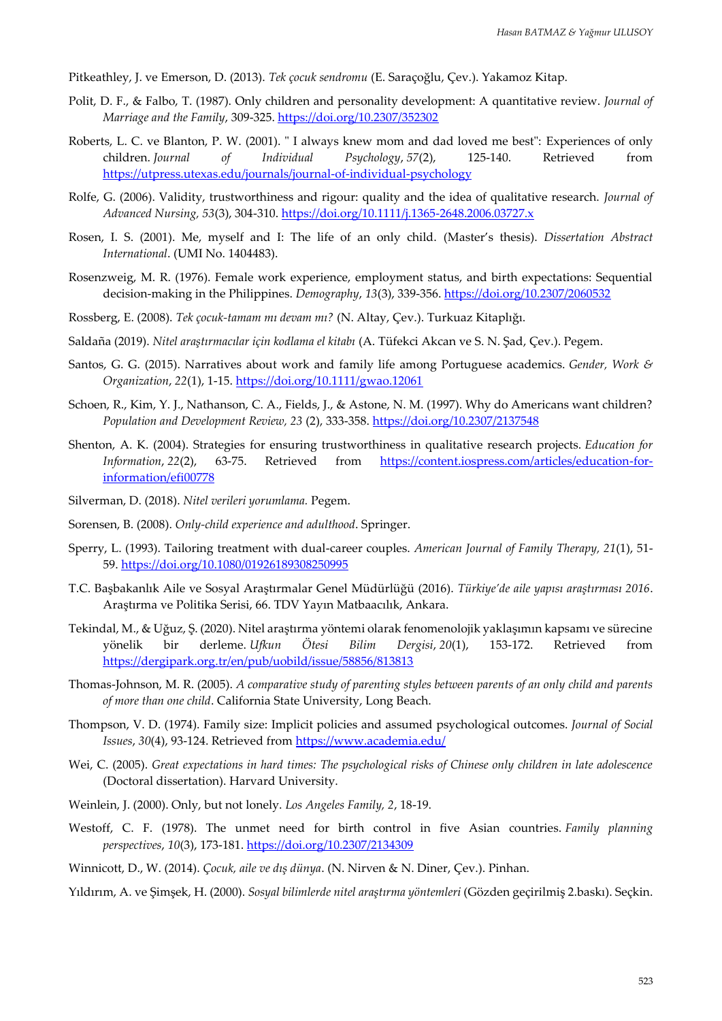Pitkeathley, J. ve Emerson, D. (2013). *Tek çocuk sendromu* (E. Saraçoğlu, Çev.). Yakamoz Kitap.

- Polit, D. F., & Falbo, T. (1987). Only children and personality development: A quantitative review. *Journal of Marriage and the Family*, 309-325.<https://doi.org/10.2307/352302>
- Roberts, L. C. ve Blanton, P. W. (2001). " I always knew mom and dad loved me best": Experiences of only children. *Journal of Individual Psychology*, *57*(2), 125-140. Retrieved from <https://utpress.utexas.edu/journals/journal-of-individual-psychology>
- Rolfe, G. (2006). Validity, trustworthiness and rigour: quality and the idea of qualitative research. *Journal of Advanced Nursing, 53*(3), 304-310.<https://doi.org/10.1111/j.1365-2648.2006.03727.x>
- Rosen, I. S. (2001). Me, myself and I: The life of an only child. (Master's thesis). *Dissertation Abstract International*. (UMI No. 1404483).
- Rosenzweig, M. R. (1976). Female work experience, employment status, and birth expectations: Sequential decision-making in the Philippines. *Demography*, *13*(3), 339-356.<https://doi.org/10.2307/2060532>
- Rossberg, E. (2008). *Tek çocuk-tamam mı devam mı?* (N. Altay, Çev.). Turkuaz Kitaplığı.
- Saldaña (2019). *Nitel araştırmacılar için kodlama el kitabı* (A. Tüfekci Akcan ve S. N. Şad, Çev.). Pegem.
- Santos, G. G. (2015). Narratives about work and family life among Portuguese academics. *Gender, Work & Organization*, *22*(1), 1-15.<https://doi.org/10.1111/gwao.12061>
- Schoen, R., Kim, Y. J., Nathanson, C. A., Fields, J., & Astone, N. M. (1997). Why do Americans want children? *Population and Development Review, 23* (2), 333-358.<https://doi.org/10.2307/2137548>
- Shenton, A. K. (2004). Strategies for ensuring trustworthiness in qualitative research projects. *Education for Information*, *22*(2), 63-75. Retrieved from [https://content.iospress.com/articles/education-for](https://content.iospress.com/articles/education-for-information/efi00778)[information/efi00778](https://content.iospress.com/articles/education-for-information/efi00778)
- Silverman, D. (2018). *Nitel verileri yorumlama.* Pegem.
- Sorensen, B. (2008). *Only-child experience and adulthood*. Springer.
- Sperry, L. (1993). Tailoring treatment with dual-career couples. *American Journal of Family Therapy, 21*(1), 51- 59.<https://doi.org/10.1080/01926189308250995>
- T.C. Başbakanlık Aile ve Sosyal Araştırmalar Genel Müdürlüğü (2016). *Türkiye'de aile yapısı araştırması 2016*. Araştırma ve Politika Serisi, 66. TDV Yayın Matbaacılık, Ankara.
- Tekindal, M., & Uğuz, Ş. (2020). Nitel araştırma yöntemi olarak fenomenolojik yaklaşımın kapsamı ve sürecine yönelik bir derleme. *Ufkun Ötesi Bilim Dergisi*, *20*(1), 153-172. Retrieved from <https://dergipark.org.tr/en/pub/uobild/issue/58856/813813>
- Thomas-Johnson, M. R. (2005). *A comparative study of parenting styles between parents of an only child and parents of more than one child*. California State University, Long Beach.
- Thompson, V. D. (1974). Family size: Implicit policies and assumed psychological outcomes. *Journal of Social Issues*, *30*(4), 93-124. Retrieved from <https://www.academia.edu/>
- Wei, C. (2005). *Great expectations in hard times: The psychological risks of Chinese only children in late adolescence* (Doctoral dissertation). Harvard University.
- Weinlein, J. (2000). Only, but not lonely. *Los Angeles Family, 2*, 18-19.
- Westoff, C. F. (1978). The unmet need for birth control in five Asian countries. *Family planning perspectives*, *10*(3), 173-181[. https://doi.org/10.2307/2134309](https://doi.org/10.2307/2134309)
- Winnicott, D., W. (2014). *Çocuk, aile ve dış dünya*. (N. Nirven & N. Diner, Çev.). Pinhan.
- Yıldırım, A. ve Şimşek, H. (2000). *Sosyal bilimlerde nitel araştırma yöntemleri* (Gözden geçirilmiş 2.baskı). Seçkin.